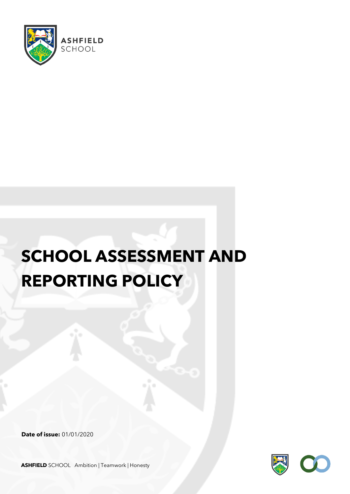

# **SCHOOL ASSESSMENT AND REPORTING POLICY**

**Date of issue:** 01/01/2020



**ASHFIELD** SCHOOL Ambition | Teamwork | Honesty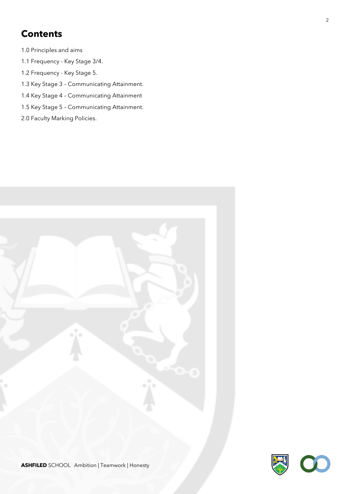## **Contents**

- 1.0 Principles and aims
- 1.1 Frequency Key Stage 3/4.
- 1.2 Frequency Key Stage 5.
- 1.3 Key Stage 3 Communicating Attainment.
- 1.4 Key Stage 4 Communicating Attainment
- 1.5 Key Stage 5 Communicating Attainment.
- 2.0 Faculty Marking Policies.

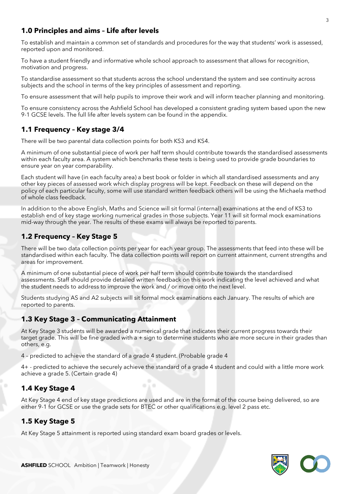#### **1.0 Principles and aims – Life after levels**

To establish and maintain a common set of standards and procedures for the way that students' work is assessed, reported upon and monitored.

To have a student friendly and informative whole school approach to assessment that allows for recognition, motivation and progress.

To standardise assessment so that students across the school understand the system and see continuity across subjects and the school in terms of the key principles of assessment and reporting.

To ensure assessment that will help pupils to improve their work and will inform teacher planning and monitoring.

To ensure consistency across the Ashfield School has developed a consistent grading system based upon the new 9-1 GCSE levels. The full life after levels system can be found in the appendix.

#### **1.1 Frequency – Key stage 3/4**

There will be two parental data collection points for both KS3 and KS4.

A minimum of one substantial piece of work per half term should contribute towards the standardised assessments within each faculty area. A system which benchmarks these tests is being used to provide grade boundaries to ensure year on year comparability.

Each student will have (in each faculty area) a best book or folder in which all standardised assessments and any other key pieces of assessed work which display progress will be kept. Feedback on these will depend on the policy of each particular faculty, some will use standard written feedback others will be using the Michaela method of whole class feedback.

In addition to the above English, Maths and Science will sit formal (internal) examinations at the end of KS3 to establish end of key stage working numerical grades in those subjects. Year 11 will sit formal mock examinations mid-way through the year. The results of these exams will always be reported to parents.

#### **1.2 Frequency – Key Stage 5**

There will be two data collection points per year for each year group. The assessments that feed into these will be standardised within each faculty. The data collection points will report on current attainment, current strengths and areas for improvement.

A minimum of one substantial piece of work per half term should contribute towards the standardised assessments. Staff should provide detailed written feedback on this work indicating the level achieved and what the student needs to address to improve the work and / or move onto the next level.

Students studying AS and A2 subjects will sit formal mock examinations each January. The results of which are reported to parents.

#### **1.3 Key Stage 3 – Communicating Attainment**

At Key Stage 3 students will be awarded a numerical grade that indicates their current progress towards their target grade. This will be fine graded with a + sign to determine students who are more secure in their grades than others, e.g.

4 – predicted to achieve the standard of a grade 4 student. (Probable grade 4

4+ - predicted to achieve the securely achieve the standard of a grade 4 student and could with a little more work achieve a grade 5. (Certain grade 4)

#### **1.4 Key Stage 4**

At Key Stage 4 end of key stage predictions are used and are in the format of the course being delivered, so are either 9-1 for GCSE or use the grade sets for BTEC or other qualifications e.g. level 2 pass etc.

#### **1.5 Key Stage 5**

At Key Stage 5 attainment is reported using standard exam board grades or levels.